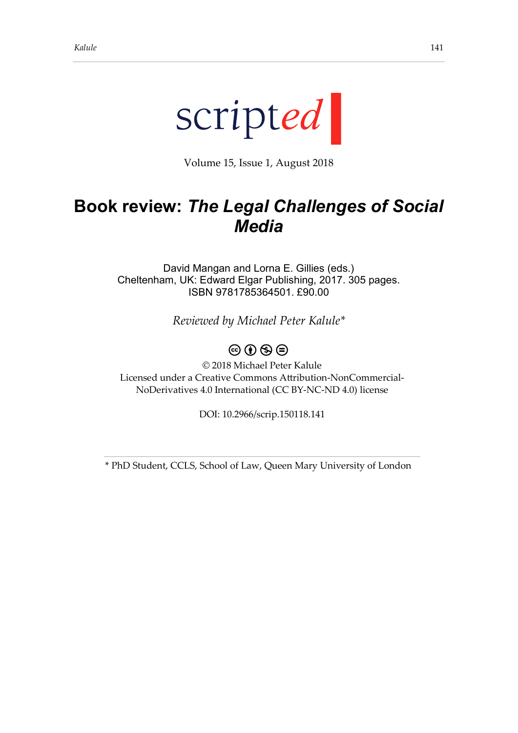

Volume 15, Issue 1, August 2018

## **Book review:** *The Legal Challenges of Social Media*

David Mangan and Lorna E. Gillies (eds.) Cheltenham, UK: Edward Elgar Publishing, 2017. 305 pages. ISBN 9781785364501. £90.00

*Reviewed by Michael Peter Kalule\**

## $\circledcirc \circ \circledcirc$

© 2018 Michael Peter Kalule Licensed under a Creative Commons Attribution-NonCommercial-NoDerivatives 4.0 International (CC BY-NC-ND 4.0) license

DOI: 10.2966/scrip.150118.141

\* PhD Student, CCLS, School of Law, Queen Mary University of London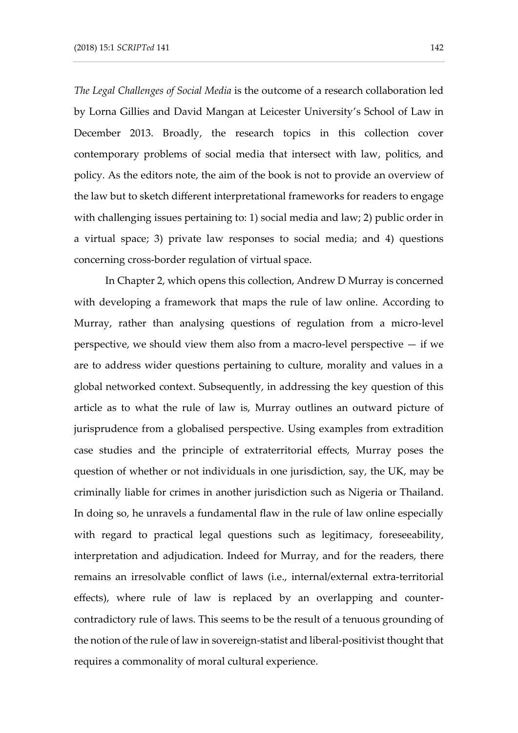*The Legal Challenges of Social Media* is the outcome of a research collaboration led by Lorna Gillies and David Mangan at Leicester University's School of Law in December 2013. Broadly, the research topics in this collection cover contemporary problems of social media that intersect with law, politics, and policy. As the editors note, the aim of the book is not to provide an overview of the law but to sketch different interpretational frameworks for readers to engage with challenging issues pertaining to: 1) social media and law; 2) public order in a virtual space; 3) private law responses to social media; and 4) questions concerning cross-border regulation of virtual space.

In Chapter 2, which opens this collection, Andrew D Murray is concerned with developing a framework that maps the rule of law online. According to Murray, rather than analysing questions of regulation from a micro-level perspective, we should view them also from a macro-level perspective  $-$  if we are to address wider questions pertaining to culture, morality and values in a global networked context. Subsequently, in addressing the key question of this article as to what the rule of law is, Murray outlines an outward picture of jurisprudence from a globalised perspective. Using examples from extradition case studies and the principle of extraterritorial effects, Murray poses the question of whether or not individuals in one jurisdiction, say, the UK, may be criminally liable for crimes in another jurisdiction such as Nigeria or Thailand. In doing so, he unravels a fundamental flaw in the rule of law online especially with regard to practical legal questions such as legitimacy, foreseeability, interpretation and adjudication. Indeed for Murray, and for the readers, there remains an irresolvable conflict of laws (i.e., internal/external extra-territorial effects), where rule of law is replaced by an overlapping and countercontradictory rule of laws. This seems to be the result of a tenuous grounding of the notion of the rule of law in sovereign-statist and liberal-positivist thought that requires a commonality of moral cultural experience.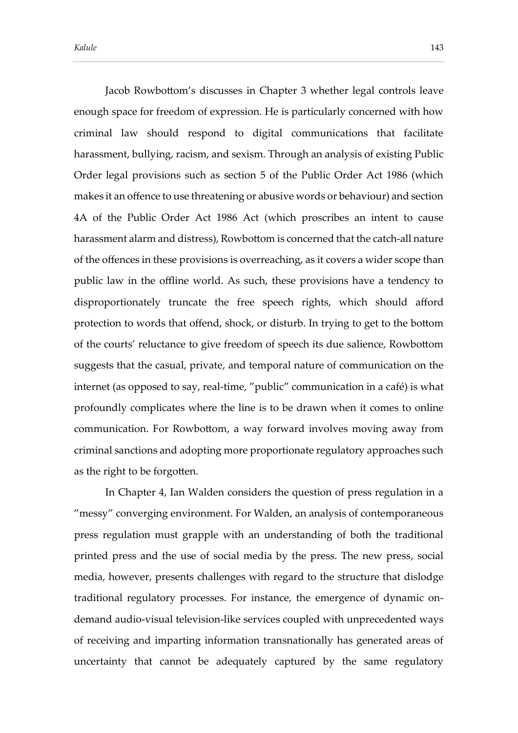Jacob Rowbottom's discusses in Chapter 3 whether legal controls leave enough space for freedom of expression. He is particularly concerned with how criminal law should respond to digital communications that facilitate harassment, bullying, racism, and sexism. Through an analysis of existing Public Order legal provisions such as section 5 of the Public Order Act 1986 (which makes it an offence to use threatening or abusive words or behaviour) and section 4A of the Public Order Act 1986 Act (which proscribes an intent to cause harassment alarm and distress), Rowbottom is concerned that the catch-all nature of the offences in these provisions is overreaching, as it covers a wider scope than public law in the offline world. As such, these provisions have a tendency to disproportionately truncate the free speech rights, which should afford protection to words that offend, shock, or disturb. In trying to get to the bottom of the courts' reluctance to give freedom of speech its due salience, Rowbottom suggests that the casual, private, and temporal nature of communication on the internet (as opposed to say, real-time, "public" communication in a café) is what profoundly complicates where the line is to be drawn when it comes to online communication. For Rowbottom, a way forward involves moving away from criminal sanctions and adopting more proportionate regulatory approaches such as the right to be forgotten.

In Chapter 4, Ian Walden considers the question of press regulation in a "messy" converging environment. For Walden, an analysis of contemporaneous press regulation must grapple with an understanding of both the traditional printed press and the use of social media by the press. The new press, social media, however, presents challenges with regard to the structure that dislodge traditional regulatory processes. For instance, the emergence of dynamic ondemand audio-visual television-like services coupled with unprecedented ways of receiving and imparting information transnationally has generated areas of uncertainty that cannot be adequately captured by the same regulatory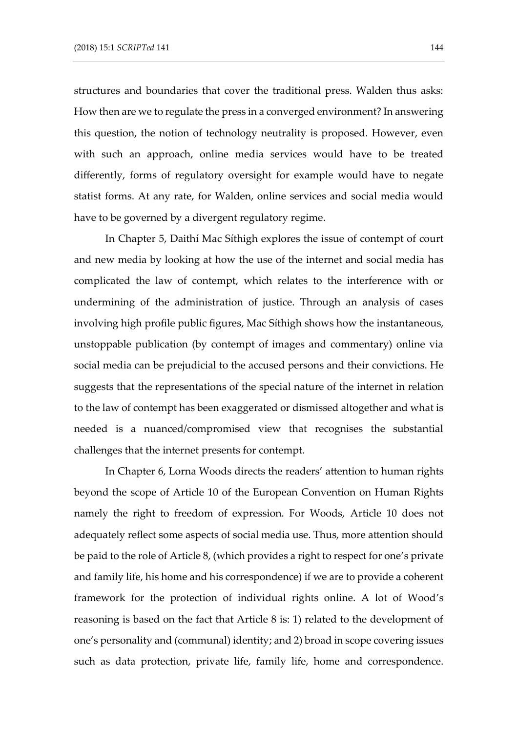structures and boundaries that cover the traditional press. Walden thus asks: How then are we to regulate the press in a converged environment? In answering this question, the notion of technology neutrality is proposed. However, even with such an approach, online media services would have to be treated differently, forms of regulatory oversight for example would have to negate statist forms. At any rate, for Walden, online services and social media would have to be governed by a divergent regulatory regime.

In Chapter 5, Daithí Mac Síthigh explores the issue of contempt of court and new media by looking at how the use of the internet and social media has complicated the law of contempt, which relates to the interference with or undermining of the administration of justice. Through an analysis of cases involving high profile public figures, Mac Síthigh shows how the instantaneous, unstoppable publication (by contempt of images and commentary) online via social media can be prejudicial to the accused persons and their convictions. He suggests that the representations of the special nature of the internet in relation to the law of contempt has been exaggerated or dismissed altogether and what is needed is a nuanced/compromised view that recognises the substantial challenges that the internet presents for contempt.

In Chapter 6, Lorna Woods directs the readers' attention to human rights beyond the scope of Article 10 of the European Convention on Human Rights namely the right to freedom of expression. For Woods, Article 10 does not adequately reflect some aspects of social media use. Thus, more attention should be paid to the role of Article 8, (which provides a right to respect for one's private and family life, his home and his correspondence) if we are to provide a coherent framework for the protection of individual rights online. A lot of Wood's reasoning is based on the fact that Article 8 is: 1) related to the development of one's personality and (communal) identity; and 2) broad in scope covering issues such as data protection, private life, family life, home and correspondence.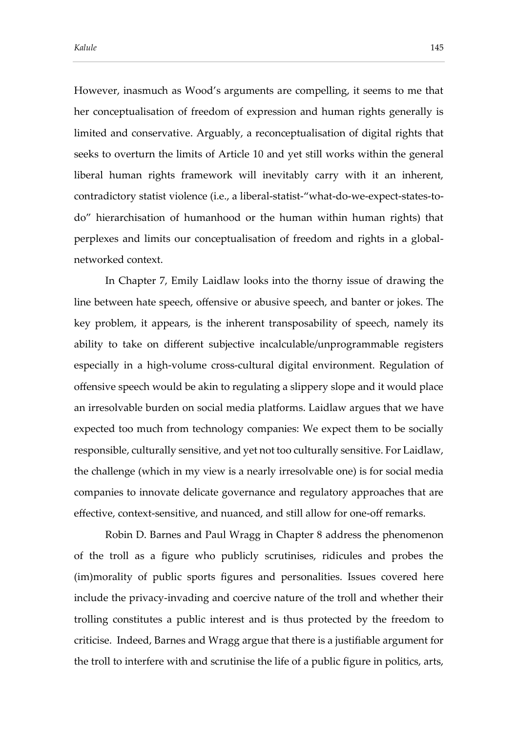However, inasmuch as Wood's arguments are compelling, it seems to me that her conceptualisation of freedom of expression and human rights generally is limited and conservative. Arguably, a reconceptualisation of digital rights that seeks to overturn the limits of Article 10 and yet still works within the general liberal human rights framework will inevitably carry with it an inherent, contradictory statist violence (i.e., a liberal-statist-"what-do-we-expect-states-todo" hierarchisation of humanhood or the human within human rights) that perplexes and limits our conceptualisation of freedom and rights in a globalnetworked context.

In Chapter 7, Emily Laidlaw looks into the thorny issue of drawing the line between hate speech, offensive or abusive speech, and banter or jokes. The key problem, it appears, is the inherent transposability of speech, namely its ability to take on different subjective incalculable/unprogrammable registers especially in a high-volume cross-cultural digital environment. Regulation of offensive speech would be akin to regulating a slippery slope and it would place an irresolvable burden on social media platforms. Laidlaw argues that we have expected too much from technology companies: We expect them to be socially responsible, culturally sensitive, and yet not too culturally sensitive. For Laidlaw, the challenge (which in my view is a nearly irresolvable one) is for social media companies to innovate delicate governance and regulatory approaches that are effective, context-sensitive, and nuanced, and still allow for one-off remarks.

Robin D. Barnes and Paul Wragg in Chapter 8 address the phenomenon of the troll as a figure who publicly scrutinises, ridicules and probes the (im)morality of public sports figures and personalities. Issues covered here include the privacy-invading and coercive nature of the troll and whether their trolling constitutes a public interest and is thus protected by the freedom to criticise. Indeed, Barnes and Wragg argue that there is a justifiable argument for the troll to interfere with and scrutinise the life of a public figure in politics, arts,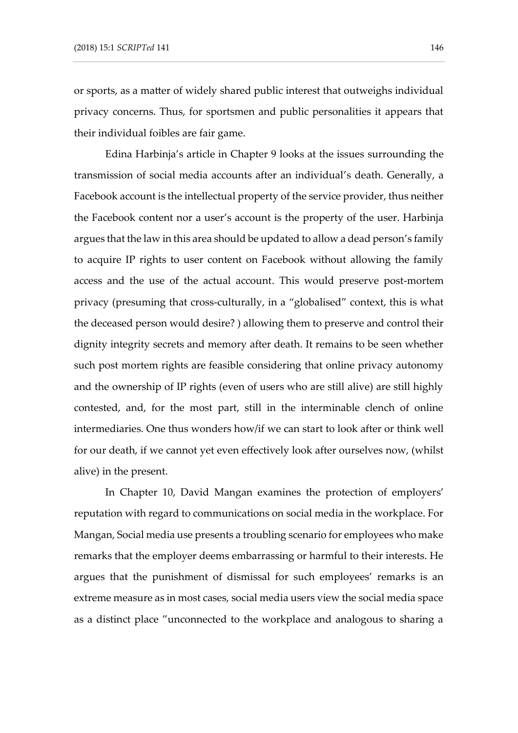or sports, as a matter of widely shared public interest that outweighs individual privacy concerns. Thus, for sportsmen and public personalities it appears that their individual foibles are fair game.

Edina Harbinja's article in Chapter 9 looks at the issues surrounding the transmission of social media accounts after an individual's death. Generally, a Facebook account is the intellectual property of the service provider, thus neither the Facebook content nor a user's account is the property of the user. Harbinja argues that the law in this area should be updated to allow a dead person's family to acquire IP rights to user content on Facebook without allowing the family access and the use of the actual account. This would preserve post-mortem privacy (presuming that cross-culturally, in a "globalised" context, this is what the deceased person would desire? ) allowing them to preserve and control their dignity integrity secrets and memory after death. It remains to be seen whether such post mortem rights are feasible considering that online privacy autonomy and the ownership of IP rights (even of users who are still alive) are still highly contested, and, for the most part, still in the interminable clench of online intermediaries. One thus wonders how/if we can start to look after or think well for our death, if we cannot yet even effectively look after ourselves now, (whilst alive) in the present.

In Chapter 10, David Mangan examines the protection of employers' reputation with regard to communications on social media in the workplace. For Mangan, Social media use presents a troubling scenario for employees who make remarks that the employer deems embarrassing or harmful to their interests. He argues that the punishment of dismissal for such employees' remarks is an extreme measure as in most cases, social media users view the social media space as a distinct place "unconnected to the workplace and analogous to sharing a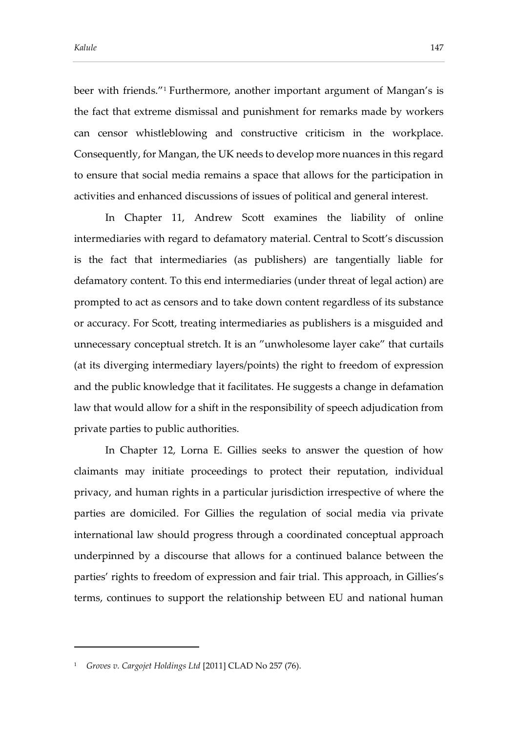beer with friends."<sup>1</sup> Furthermore, another important argument of Mangan's is the fact that extreme dismissal and punishment for remarks made by workers can censor whistleblowing and constructive criticism in the workplace. Consequently, for Mangan, the UK needs to develop more nuances in this regard to ensure that social media remains a space that allows for the participation in activities and enhanced discussions of issues of political and general interest.

In Chapter 11, Andrew Scott examines the liability of online intermediaries with regard to defamatory material. Central to Scott's discussion is the fact that intermediaries (as publishers) are tangentially liable for defamatory content. To this end intermediaries (under threat of legal action) are prompted to act as censors and to take down content regardless of its substance or accuracy. For Scott, treating intermediaries as publishers is a misguided and unnecessary conceptual stretch. It is an "unwholesome layer cake" that curtails (at its diverging intermediary layers/points) the right to freedom of expression and the public knowledge that it facilitates. He suggests a change in defamation law that would allow for a shift in the responsibility of speech adjudication from private parties to public authorities.

In Chapter 12, Lorna E. Gillies seeks to answer the question of how claimants may initiate proceedings to protect their reputation, individual privacy, and human rights in a particular jurisdiction irrespective of where the parties are domiciled. For Gillies the regulation of social media via private international law should progress through a coordinated conceptual approach underpinned by a discourse that allows for a continued balance between the parties' rights to freedom of expression and fair trial. This approach, in Gillies's terms, continues to support the relationship between EU and national human

-

<sup>1</sup> *Groves v. Cargojet Holdings Ltd* [2011] CLAD No 257 (76).